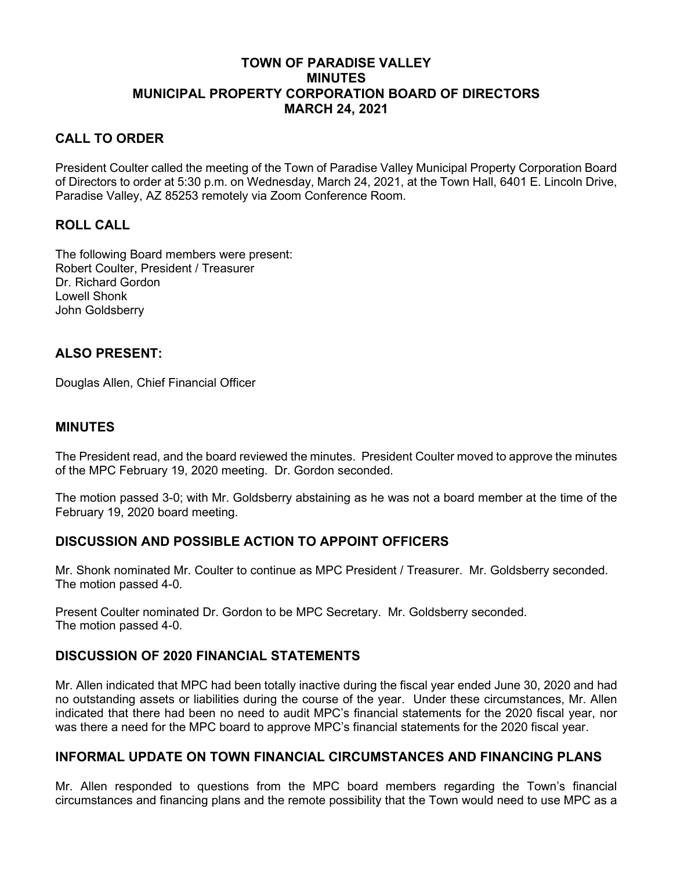# **TOWN OF PARADISE VALLEY MINUTES MUNICIPAL PROPERTY CORPORATION BOARD OF DIRECTORS MARCH 24, 2021**

# **CALL TO ORDER**

President Coulter called the meeting of the Town of Paradise Valley Municipal Property Corporation Board of Directors to order at 5:30 p.m. on Wednesday, March 24, 2021, at the Town Hall, 6401 E. Lincoln Drive, Paradise Valley, AZ 85253 remotely via Zoom Conference Room.

### **ROLL CALL**

The following Board members were present: Robert Coulter, President / Treasurer Dr. Richard Gordon Lowell Shonk John Goldsberry

# **ALSO PRESENT:**

Douglas Allen, Chief Financial Officer

### **MINUTES**

The President read, and the board reviewed the minutes. President Coulter moved to approve the minutes of the MPC February 19, 2020 meeting. Dr. Gordon seconded.

The motion passed 3-0; with Mr. Goldsberry abstaining as he was not a board member at the time of the February 19, 2020 board meeting.

# **DISCUSSION AND POSSIBLE ACTION TO APPOINT OFFICERS**

Mr. Shonk nominated Mr. Coulter to continue as MPC President / Treasurer. Mr. Goldsberry seconded. The motion passed 4-0.

Present Coulter nominated Dr. Gordon to be MPC Secretary. Mr. Goldsberry seconded. The motion passed 4-0.

# **DISCUSSION OF 2020 FINANCIAL STATEMENTS**

Mr. Allen indicated that MPC had been totally inactive during the fiscal year ended June 30, 2020 and had no outstanding assets or liabilities during the course of the year. Under these circumstances, Mr. Allen indicated that there had been no need to audit MPC's financial statements for the 2020 fiscal year, nor was there a need for the MPC board to approve MPC's financial statements for the 2020 fiscal year.

### **INFORMAL UPDATE ON TOWN FINANCIAL CIRCUMSTANCES AND FINANCING PLANS**

Mr. Allen responded to questions from the MPC board members regarding the Town's financial circumstances and financing plans and the remote possibility that the Town would need to use MPC as a